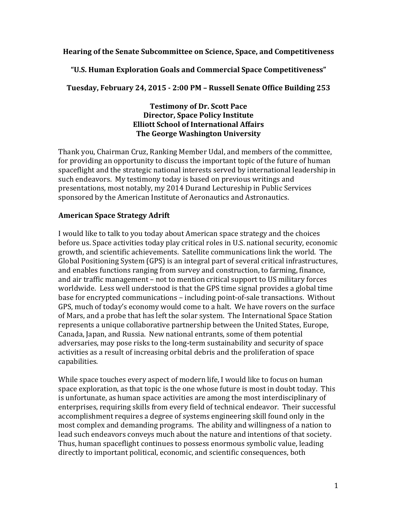#### **Hearing of the Senate Subcommittee on Science, Space, and Competitiveness**

**"U.S. Human Exploration Goals and Commercial Space Competitiveness"**

**Tuesday, February 24, 2015 - 2:00 PM – Russell Senate Office Building 253**

#### **Testimony of Dr. Scott Pace Director, Space Policy Institute Elliott School of International Affairs The George Washington University**

Thank you, Chairman Cruz, Ranking Member Udal, and members of the committee. for providing an opportunity to discuss the important topic of the future of human spaceflight and the strategic national interests served by international leadership in such endeavors. My testimony today is based on previous writings and presentations, most notably, my 2014 Durand Lectureship in Public Services sponsored by the American Institute of Aeronautics and Astronautics.

## **American Space Strategy Adrift**

I would like to talk to you today about American space strategy and the choices before us. Space activities today play critical roles in U.S. national security, economic growth, and scientific achievements. Satellite communications link the world. The Global Positioning System (GPS) is an integral part of several critical infrastructures, and enables functions ranging from survey and construction, to farming, finance, and air traffic management – not to mention critical support to US military forces worldwide. Less well understood is that the GPS time signal provides a global time base for encrypted communications – including point-of-sale transactions. Without GPS, much of today's economy would come to a halt. We have rovers on the surface of Mars, and a probe that has left the solar system. The International Space Station represents a unique collaborative partnership between the United States, Europe, Canada, Japan, and Russia. New national entrants, some of them potential adversaries, may pose risks to the long-term sustainability and security of space activities as a result of increasing orbital debris and the proliferation of space capabilities.

While space touches every aspect of modern life, I would like to focus on human space exploration, as that topic is the one whose future is most in doubt today. This is unfortunate, as human space activities are among the most interdisciplinary of enterprises, requiring skills from every field of technical endeavor. Their successful accomplishment requires a degree of systems engineering skill found only in the most complex and demanding programs. The ability and willingness of a nation to lead such endeavors conveys much about the nature and intentions of that society. Thus, human spaceflight continues to possess enormous symbolic value, leading directly to important political, economic, and scientific consequences, both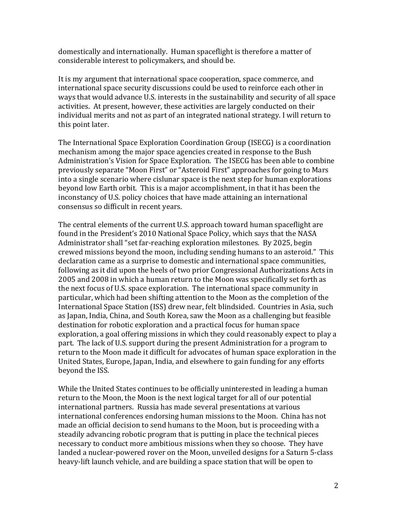domestically and internationally. Human spaceflight is therefore a matter of considerable interest to policymakers, and should be.

It is my argument that international space cooperation, space commerce, and international space security discussions could be used to reinforce each other in ways that would advance U.S. interests in the sustainability and security of all space activities. At present, however, these activities are largely conducted on their individual merits and not as part of an integrated national strategy. I will return to this point later.

The International Space Exploration Coordination Group (ISECG) is a coordination mechanism among the major space agencies created in response to the Bush Administration's Vision for Space Exploration. The ISECG has been able to combine previously separate "Moon First" or "Asteroid First" approaches for going to Mars into a single scenario where cislunar space is the next step for human explorations beyond low Earth orbit. This is a major accomplishment, in that it has been the inconstancy of U.S. policy choices that have made attaining an international consensus so difficult in recent years.

The central elements of the current U.S. approach toward human spaceflight are found in the President's 2010 National Space Policy, which says that the NASA Administrator shall "set far-reaching exploration milestones. By 2025, begin crewed missions beyond the moon, including sending humans to an asteroid." This declaration came as a surprise to domestic and international space communities, following as it did upon the heels of two prior Congressional Authorizations Acts in 2005 and 2008 in which a human return to the Moon was specifically set forth as the next focus of U.S. space exploration. The international space community in particular, which had been shifting attention to the Moon as the completion of the International Space Station (ISS) drew near, felt blindsided. Countries in Asia, such as Japan, India, China, and South Korea, saw the Moon as a challenging but feasible destination for robotic exploration and a practical focus for human space exploration, a goal offering missions in which they could reasonably expect to play a part. The lack of U.S. support during the present Administration for a program to return to the Moon made it difficult for advocates of human space exploration in the United States, Europe, Japan, India, and elsewhere to gain funding for any efforts beyond the ISS.

While the United States continues to be officially uninterested in leading a human return to the Moon, the Moon is the next logical target for all of our potential international partners. Russia has made several presentations at various international conferences endorsing human missions to the Moon. China has not made an official decision to send humans to the Moon, but is proceeding with a steadily advancing robotic program that is putting in place the technical pieces necessary to conduct more ambitious missions when they so choose. They have landed a nuclear-powered rover on the Moon, unveiled designs for a Saturn 5-class heavy-lift launch vehicle, and are building a space station that will be open to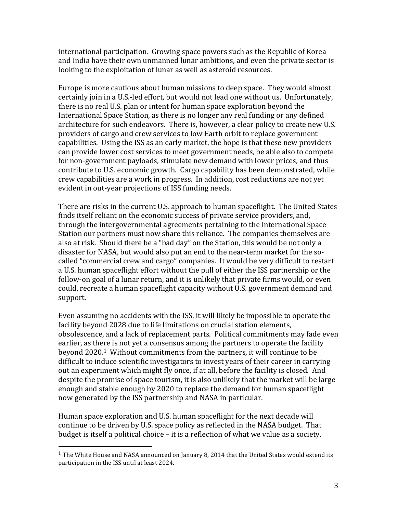international participation. Growing space powers such as the Republic of Korea and India have their own unmanned lunar ambitions, and even the private sector is looking to the exploitation of lunar as well as asteroid resources.

Europe is more cautious about human missions to deep space. They would almost certainly join in a U.S.-led effort, but would not lead one without us. Unfortunately, there is no real U.S. plan or intent for human space exploration beyond the International Space Station, as there is no longer any real funding or any defined architecture for such endeavors. There is, however, a clear policy to create new U.S. providers of cargo and crew services to low Earth orbit to replace government capabilities. Using the ISS as an early market, the hope is that these new providers can provide lower cost services to meet government needs, be able also to compete for non-government payloads, stimulate new demand with lower prices, and thus contribute to U.S. economic growth. Cargo capability has been demonstrated, while crew capabilities are a work in progress. In addition, cost reductions are not yet evident in out-year projections of ISS funding needs.

There are risks in the current U.S. approach to human spaceflight. The United States finds itself reliant on the economic success of private service providers, and, through the intergovernmental agreements pertaining to the International Space Station our partners must now share this reliance. The companies themselves are also at risk. Should there be a "bad day" on the Station, this would be not only a disaster for NASA, but would also put an end to the near-term market for the socalled "commercial crew and cargo" companies. It would be very difficult to restart a U.S. human spaceflight effort without the pull of either the ISS partnership or the follow-on goal of a lunar return, and it is unlikely that private firms would, or even could, recreate a human spaceflight capacity without U.S. government demand and support. 

Even assuming no accidents with the ISS, it will likely be impossible to operate the facility beyond 2028 due to life limitations on crucial station elements, obsolescence, and a lack of replacement parts. Political commitments may fade even earlier, as there is not yet a consensus among the partners to operate the facility beyond  $2020.1$  Without commitments from the partners, it will continue to be difficult to induce scientific investigators to invest years of their career in carrying out an experiment which might fly once, if at all, before the facility is closed. And despite the promise of space tourism, it is also unlikely that the market will be large enough and stable enough by 2020 to replace the demand for human spaceflight now generated by the ISS partnership and NASA in particular.

Human space exploration and U.S. human spaceflight for the next decade will continue to be driven by U.S. space policy as reflected in the NASA budget. That budget is itself a political choice - it is a reflection of what we value as a society.

 

<sup>&</sup>lt;sup>1</sup> The White House and NASA announced on January 8, 2014 that the United States would extend its participation in the ISS until at least 2024.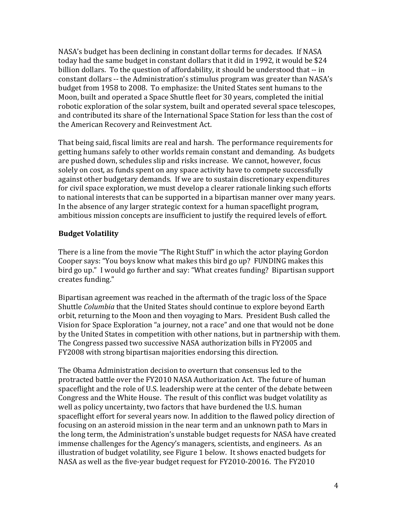NASA's budget has been declining in constant dollar terms for decades. If NASA today had the same budget in constant dollars that it did in 1992, it would be \$24 billion dollars. To the question of affordability, it should be understood that -- in constant dollars -- the Administration's stimulus program was greater than NASA's budget from 1958 to 2008. To emphasize: the United States sent humans to the Moon, built and operated a Space Shuttle fleet for 30 years, completed the initial robotic exploration of the solar system, built and operated several space telescopes, and contributed its share of the International Space Station for less than the cost of the American Recovery and Reinvestment Act.

That being said, fiscal limits are real and harsh. The performance requirements for getting humans safely to other worlds remain constant and demanding. As budgets are pushed down, schedules slip and risks increase. We cannot, however, focus solely on cost, as funds spent on any space activity have to compete successfully against other budgetary demands. If we are to sustain discretionary expenditures for civil space exploration, we must develop a clearer rationale linking such efforts to national interests that can be supported in a bipartisan manner over many years. In the absence of any larger strategic context for a human spaceflight program, ambitious mission concepts are insufficient to justify the required levels of effort.

# **Budget Volatility**

There is a line from the movie "The Right Stuff" in which the actor playing Gordon Cooper says: "You boys know what makes this bird go up? FUNDING makes this bird go up." I would go further and say: "What creates funding? Bipartisan support creates funding."

Bipartisan agreement was reached in the aftermath of the tragic loss of the Space Shuttle *Columbia* that the United States should continue to explore beyond Earth orbit, returning to the Moon and then voyaging to Mars. President Bush called the Vision for Space Exploration "a journey, not a race" and one that would not be done by the United States in competition with other nations, but in partnership with them. The Congress passed two successive NASA authorization bills in FY2005 and FY2008 with strong bipartisan majorities endorsing this direction.

The Obama Administration decision to overturn that consensus led to the protracted battle over the FY2010 NASA Authorization Act. The future of human spaceflight and the role of U.S. leadership were at the center of the debate between Congress and the White House. The result of this conflict was budget volatility as well as policy uncertainty, two factors that have burdened the U.S. human spaceflight effort for several years now. In addition to the flawed policy direction of focusing on an asteroid mission in the near term and an unknown path to Mars in the long term, the Administration's unstable budget requests for NASA have created immense challenges for the Agency's managers, scientists, and engineers. As an illustration of budget volatility, see Figure 1 below. It shows enacted budgets for NASA as well as the five-year budget request for FY2010-20016. The FY2010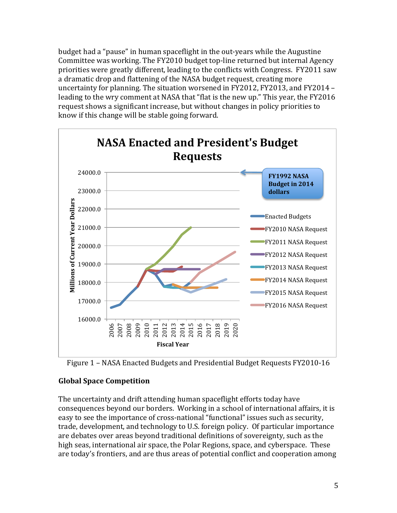budget had a "pause" in human spaceflight in the out-years while the Augustine Committee was working. The FY2010 budget top-line returned but internal Agency priorities were greatly different, leading to the conflicts with Congress. FY2011 saw a dramatic drop and flattening of the NASA budget request, creating more uncertainty for planning. The situation worsened in FY2012, FY2013, and FY2014  $$ leading to the wry comment at NASA that "flat is the new up." This year, the FY2016 request shows a significant increase, but without changes in policy priorities to know if this change will be stable going forward.





# **Global Space Competition**

The uncertainty and drift attending human spaceflight efforts today have consequences beyond our borders. Working in a school of international affairs, it is easy to see the importance of cross-national "functional" issues such as security, trade, development, and technology to U.S. foreign policy. Of particular importance are debates over areas beyond traditional definitions of sovereignty, such as the high seas, international air space, the Polar Regions, space, and cyberspace. These are today's frontiers, and are thus areas of potential conflict and cooperation among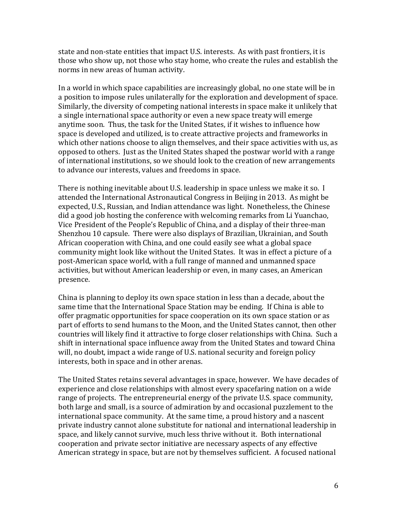state and non-state entities that impact U.S. interests. As with past frontiers, it is those who show up, not those who stay home, who create the rules and establish the norms in new areas of human activity.

In a world in which space capabilities are increasingly global, no one state will be in a position to impose rules unilaterally for the exploration and development of space. Similarly, the diversity of competing national interests in space make it unlikely that a single international space authority or even a new space treaty will emerge anytime soon. Thus, the task for the United States, if it wishes to influence how space is developed and utilized, is to create attractive projects and frameworks in which other nations choose to align themselves, and their space activities with us, as opposed to others. Just as the United States shaped the postwar world with a range of international institutions, so we should look to the creation of new arrangements to advance our interests, values and freedoms in space.

There is nothing inevitable about U.S. leadership in space unless we make it so. I attended the International Astronautical Congress in Beijing in 2013. As might be expected, U.S., Russian, and Indian attendance was light. Nonetheless, the Chinese did a good job hosting the conference with welcoming remarks from Li Yuanchao, Vice President of the People's Republic of China, and a display of their three-man Shenzhou 10 capsule. There were also displays of Brazilian, Ukrainian, and South African cooperation with China, and one could easily see what a global space community might look like without the United States. It was in effect a picture of a post-American space world, with a full range of manned and unmanned space activities, but without American leadership or even, in many cases, an American presence.

China is planning to deploy its own space station in less than a decade, about the same time that the International Space Station may be ending. If China is able to offer pragmatic opportunities for space cooperation on its own space station or as part of efforts to send humans to the Moon, and the United States cannot, then other countries will likely find it attractive to forge closer relationships with China. Such a shift in international space influence away from the United States and toward China will, no doubt, impact a wide range of U.S. national security and foreign policy interests, both in space and in other arenas.

The United States retains several advantages in space, however. We have decades of experience and close relationships with almost every spacefaring nation on a wide range of projects. The entrepreneurial energy of the private U.S. space community, both large and small, is a source of admiration by and occasional puzzlement to the international space community. At the same time, a proud history and a nascent private industry cannot alone substitute for national and international leadership in space, and likely cannot survive, much less thrive without it. Both international cooperation and private sector initiative are necessary aspects of any effective American strategy in space, but are not by themselves sufficient. A focused national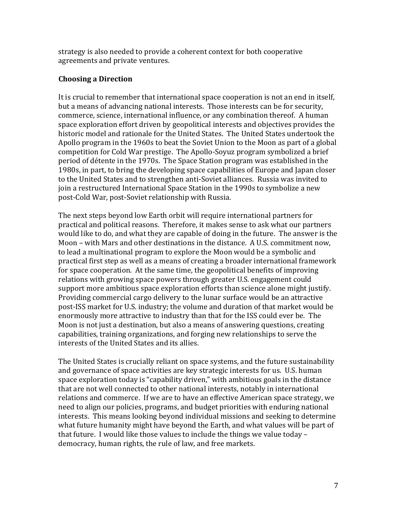strategy is also needed to provide a coherent context for both cooperative agreements and private ventures.

## **Choosing a Direction**

It is crucial to remember that international space cooperation is not an end in itself, but a means of advancing national interests. Those interests can be for security, commerce, science, international influence, or any combination thereof. A human space exploration effort driven by geopolitical interests and objectives provides the historic model and rationale for the United States. The United States undertook the Apollo program in the 1960s to beat the Soviet Union to the Moon as part of a global competition for Cold War prestige. The Apollo-Soyuz program symbolized a brief period of détente in the 1970s. The Space Station program was established in the 1980s, in part, to bring the developing space capabilities of Europe and Japan closer to the United States and to strengthen anti-Soviet alliances. Russia was invited to join a restructured International Space Station in the 1990s to symbolize a new post-Cold War, post-Soviet relationship with Russia.

The next steps beyond low Earth orbit will require international partners for practical and political reasons. Therefore, it makes sense to ask what our partners would like to do, and what they are capable of doing in the future. The answer is the Moon – with Mars and other destinations in the distance. A U.S. commitment now, to lead a multinational program to explore the Moon would be a symbolic and practical first step as well as a means of creating a broader international framework for space cooperation. At the same time, the geopolitical benefits of improving relations with growing space powers through greater U.S. engagement could support more ambitious space exploration efforts than science alone might justify. Providing commercial cargo delivery to the lunar surface would be an attractive post-ISS market for U.S. industry; the volume and duration of that market would be enormously more attractive to industry than that for the ISS could ever be. The Moon is not just a destination, but also a means of answering questions, creating capabilities, training organizations, and forging new relationships to serve the interests of the United States and its allies.

The United States is crucially reliant on space systems, and the future sustainability and governance of space activities are key strategic interests for us. U.S. human space exploration today is "capability driven," with ambitious goals in the distance that are not well connected to other national interests, notably in international relations and commerce. If we are to have an effective American space strategy, we need to align our policies, programs, and budget priorities with enduring national interests. This means looking beyond individual missions and seeking to determine what future humanity might have beyond the Earth, and what values will be part of that future. I would like those values to include the things we value today  $$ democracy, human rights, the rule of law, and free markets.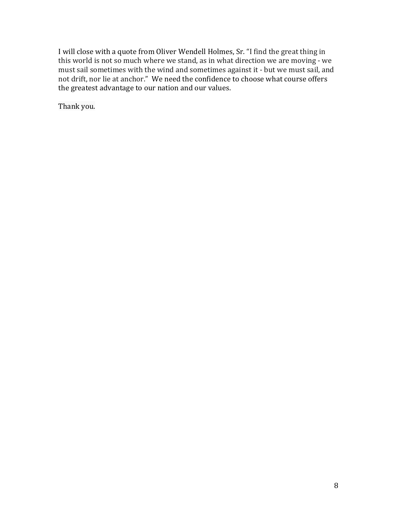I will close with a quote from Oliver Wendell Holmes, Sr. "I find the great thing in this world is not so much where we stand, as in what direction we are moving - we must sail sometimes with the wind and sometimes against it - but we must sail, and not drift, nor lie at anchor." We need the confidence to choose what course offers the greatest advantage to our nation and our values.

Thank you.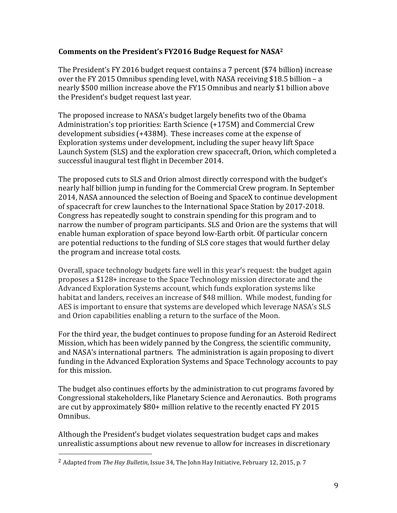## Comments on the President's FY2016 Budge Request for NASA<sup>2</sup>

The President's FY 2016 budget request contains a 7 percent (\$74 billion) increase over the FY 2015 Omnibus spending level, with NASA receiving \$18.5 billion – a nearly \$500 million increase above the FY15 Omnibus and nearly \$1 billion above the President's budget request last year.

The proposed increase to NASA's budget largely benefits two of the Obama Administration's top priorities: Earth Science (+175M) and Commercial Crew development subsidies (+438M). These increases come at the expense of Exploration systems under development, including the super heavy lift Space Launch System (SLS) and the exploration crew spacecraft, Orion, which completed a successful inaugural test flight in December 2014.

The proposed cuts to SLS and Orion almost directly correspond with the budget's nearly half billion jump in funding for the Commercial Crew program. In September 2014, NASA announced the selection of Boeing and SpaceX to continue development of spacecraft for crew launches to the International Space Station by 2017-2018. Congress has repeatedly sought to constrain spending for this program and to narrow the number of program participants. SLS and Orion are the systems that will enable human exploration of space beyond low-Earth orbit. Of particular concern are potential reductions to the funding of SLS core stages that would further delay the program and increase total costs.

Overall, space technology budgets fare well in this year's request: the budget again proposes a \$128+ increase to the Space Technology mission directorate and the Advanced Exploration Systems account, which funds exploration systems like habitat and landers, receives an increase of \$48 million. While modest, funding for AES is important to ensure that systems are developed which leverage NASA's SLS and Orion capabilities enabling a return to the surface of the Moon.

For the third year, the budget continues to propose funding for an Asteroid Redirect Mission, which has been widely panned by the Congress, the scientific community, and NASA's international partners. The administration is again proposing to divert funding in the Advanced Exploration Systems and Space Technology accounts to pay for this mission.

The budget also continues efforts by the administration to cut programs favored by Congressional stakeholders, like Planetary Science and Aeronautics. Both programs are cut by approximately  $$80+$  million relative to the recently enacted FY 2015 Omnibus. 

Although the President's budget violates sequestration budget caps and makes unrealistic assumptions about new revenue to allow for increases in discretionary

 

<sup>&</sup>lt;sup>2</sup> Adapted from *The Hay Bulletin*, Issue 34, The John Hay Initiative, February 12, 2015, p. 7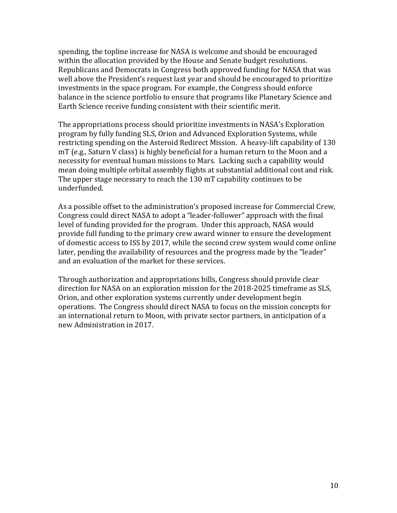spending, the topline increase for NASA is welcome and should be encouraged within the allocation provided by the House and Senate budget resolutions. Republicans and Democrats in Congress both approved funding for NASA that was well above the President's request last year and should be encouraged to prioritize investments in the space program. For example, the Congress should enforce balance in the science portfolio to ensure that programs like Planetary Science and Earth Science receive funding consistent with their scientific merit.

The appropriations process should prioritize investments in NASA's Exploration program by fully funding SLS, Orion and Advanced Exploration Systems, while restricting spending on the Asteroid Redirect Mission. A heavy-lift capability of 130 mT (e.g., Saturn V class) is highly beneficial for a human return to the Moon and a necessity for eventual human missions to Mars. Lacking such a capability would mean doing multiple orbital assembly flights at substantial additional cost and risk. The upper stage necessary to reach the 130 mT capability continues to be underfunded.

As a possible offset to the administration's proposed increase for Commercial Crew, Congress could direct NASA to adopt a "leader-follower" approach with the final level of funding provided for the program. Under this approach, NASA would provide full funding to the primary crew award winner to ensure the development of domestic access to ISS by 2017, while the second crew system would come online later, pending the availability of resources and the progress made by the "leader" and an evaluation of the market for these services.

Through authorization and appropriations bills, Congress should provide clear direction for NASA on an exploration mission for the 2018-2025 timeframe as SLS, Orion, and other exploration systems currently under development begin operations. The Congress should direct NASA to focus on the mission concepts for an international return to Moon, with private sector partners, in anticipation of a new Administration in 2017.